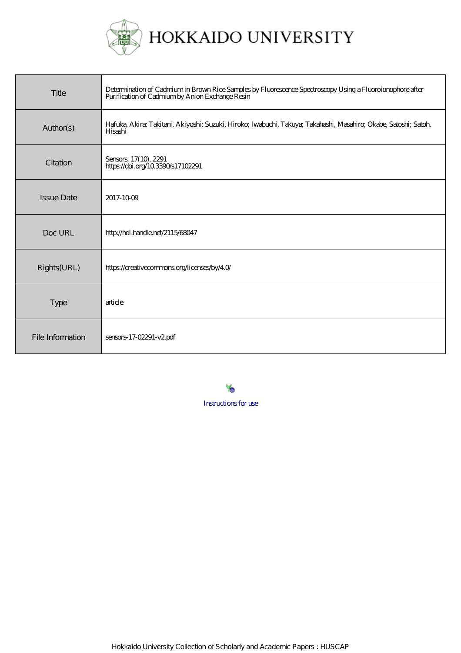

| Title             | Determination of Cadmium in Brown Rice Samples by Fluorescence Spectroscopy Using a Fluoroionophore after<br>Purification of Cadmium by Anion Exchange Resin |
|-------------------|--------------------------------------------------------------------------------------------------------------------------------------------------------------|
| Author(s)         | Hafuka, Akira; Takitani, Akiyoshi; Suzuki, Hiroko; Iwabuchi, Takuya; Takahashi, Masahiro; Okabe, Satoshi; Satoh,<br>Hisashi                                  |
| Citation          | Sensors, 17(10), 2291<br>https://doi.org/103390/s17102291                                                                                                    |
| <b>Issue Date</b> | 2017-1009                                                                                                                                                    |
| Doc URL           | http://hdl.handle.net/2115/68047                                                                                                                             |
| Rights(URL)       | https://creativecommons.org/licenses/by/40/                                                                                                                  |
| <b>Type</b>       | article                                                                                                                                                      |
| File Information  | sensors-17-02291-v2pdf                                                                                                                                       |

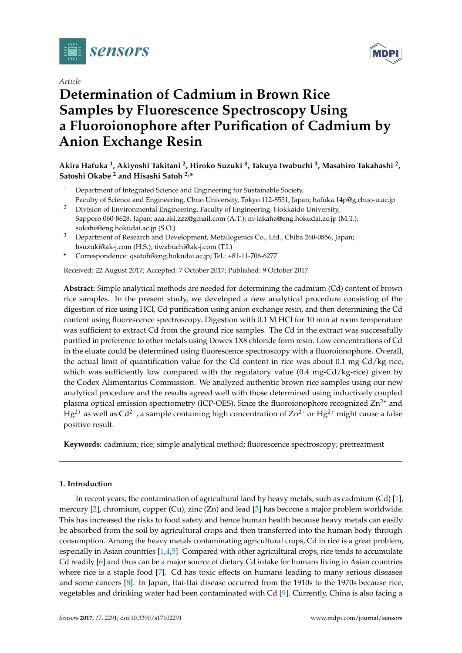

*Article*

# **Determination of Cadmium in Brown Rice Samples by Fluorescence Spectroscopy Using a Fluoroionophore after Purification of Cadmium by Anion Exchange Resin**

## **Akira Hafuka <sup>1</sup> , Akiyoshi Takitani <sup>2</sup> , Hiroko Suzuki <sup>3</sup> , Takuya Iwabuchi <sup>3</sup> , Masahiro Takahashi <sup>2</sup> , Satoshi Okabe <sup>2</sup> and Hisashi Satoh 2,\***

- $1$  Department of Integrated Science and Engineering for Sustainable Society,  $\,$ Faculty of Science and Engineering, Chuo University, Tokyo 112-8551, Japan; hafuka.14p@g.chuo-u.ac.jp
- <sup>2</sup> Division of Environmental Engineering, Faculty of Engineering, Hokkaido University, Sapporo 060-8628, Japan; aaa.aki.zzz@gmail.com (A.T.); m-takaha@eng.hokudai.ac.jp (M.T.); sokabe@eng.hokudai.ac.jp (S.O.)
- <sup>3</sup> Department of Research and Development, Metallogenics Co., Ltd., Chiba 260-0856, Japan; hsuzuki@ak-j.com (H.S.); tiwabuchi@ak-j.com (T.I.)
- **\*** Correspondence: qsatoh@eng.hokudai.ac.jp; Tel.: +81-11-706-6277

Received: 22 August 2017; Accepted: 7 October 2017; Published: 9 October 2017

**Abstract:** Simple analytical methods are needed for determining the cadmium (Cd) content of brown rice samples. In the present study, we developed a new analytical procedure consisting of the digestion of rice using HCl, Cd purification using anion exchange resin, and then determining the Cd content using fluorescence spectroscopy. Digestion with 0.1 M HCl for 10 min at room temperature was sufficient to extract Cd from the ground rice samples. The Cd in the extract was successfully purified in preference to other metals using Dowex 1X8 chloride form resin. Low concentrations of Cd in the eluate could be determined using fluorescence spectroscopy with a fluoroionophore. Overall, the actual limit of quantification value for the Cd content in rice was about 0.1 mg-Cd/kg-rice, which was sufficiently low compared with the regulatory value  $(0.4 \text{ mg-Cd/kg-rice})$  given by the Codex Alimentarius Commission. We analyzed authentic brown rice samples using our new analytical procedure and the results agreed well with those determined using inductively coupled plasma optical emission spectrometry (ICP-OES). Since the fluoroionophore recognized  $Zn^{2+}$  and  $Hg^{2+}$  as well as Cd<sup>2+</sup>, a sample containing high concentration of  $Zn^{2+}$  or  $Hg^{2+}$  might cause a false positive result.

**Keywords:** cadmium; rice; simple analytical method; fluorescence spectroscopy; pretreatment

## **1. Introduction**

In recent years, the contamination of agricultural land by heavy metals, such as cadmium (Cd) [\[1\]](#page-8-0), mercury [\[2\]](#page-8-1), chromium, copper (Cu), zinc (Zn) and lead [\[3\]](#page-8-2) has become a major problem worldwide. This has increased the risks to food safety and hence human health because heavy metals can easily be absorbed from the soil by agricultural crops and then transferred into the human body through consumption. Among the heavy metals contaminating agricultural crops, Cd in rice is a great problem, especially in Asian countries  $[1,4,5]$  $[1,4,5]$  $[1,4,5]$ . Compared with other agricultural crops, rice tends to accumulate Cd readily [\[6\]](#page-9-2) and thus can be a major source of dietary Cd intake for humans living in Asian countries where rice is a staple food [\[7\]](#page-9-3). Cd has toxic effects on humans leading to many serious diseases and some cancers [\[8\]](#page-9-4). In Japan, Itai-Itai disease occurred from the 1910s to the 1970s because rice, vegetables and drinking water had been contaminated with Cd [\[9\]](#page-9-5). Currently, China is also facing a

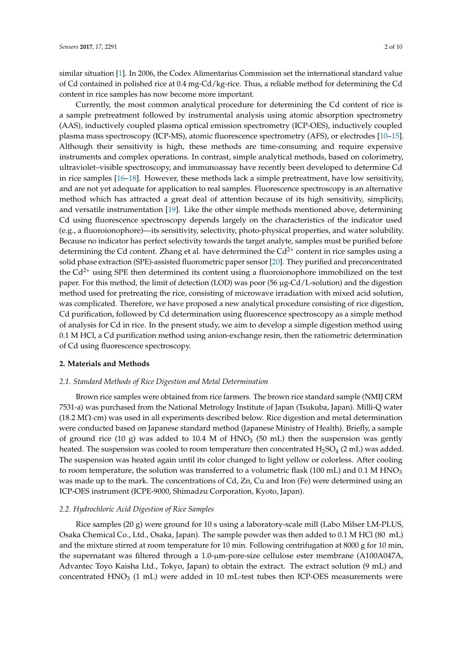similar situation [\[1\]](#page-8-0). In 2006, the Codex Alimentarius Commission set the international standard value of Cd contained in polished rice at 0.4 mg-Cd/kg-rice. Thus, a reliable method for determining the Cd content in rice samples has now become more important.

Currently, the most common analytical procedure for determining the Cd content of rice is a sample pretreatment followed by instrumental analysis using atomic absorption spectrometry (AAS), inductively coupled plasma optical emission spectrometry (ICP-OES), inductively coupled plasma mass spectroscopy (ICP-MS), atomic fluorescence spectrometry (AFS), or electrodes [\[10–](#page-9-6)[15\]](#page-9-7). Although their sensitivity is high, these methods are time-consuming and require expensive instruments and complex operations. In contrast, simple analytical methods, based on colorimetry, ultraviolet–visible spectroscopy, and immunoassay have recently been developed to determine Cd in rice samples [\[16–](#page-9-8)[18\]](#page-9-9). However, these methods lack a simple pretreatment, have low sensitivity, and are not yet adequate for application to real samples. Fluorescence spectroscopy is an alternative method which has attracted a great deal of attention because of its high sensitivity, simplicity, and versatile instrumentation [\[19\]](#page-9-10). Like the other simple methods mentioned above, determining Cd using fluorescence spectroscopy depends largely on the characteristics of the indicator used (e.g., a fluoroionophore)—its sensitivity, selectivity, photo-physical properties, and water solubility. Because no indicator has perfect selectivity towards the target analyte, samples must be purified before determining the Cd content. Zhang et al. have determined the  $Cd^{2+}$  content in rice samples using a solid phase extraction (SPE)-assisted fluorometric paper sensor [\[20\]](#page-9-11). They purified and preconcentrated the  $Cd^{2+}$  using SPE then determined its content using a fluoroionophore immobilized on the test paper. For this method, the limit of detection (LOD) was poor (56 µg-Cd/L-solution) and the digestion method used for pretreating the rice, consisting of microwave irradiation with mixed acid solution, was complicated. Therefore, we have proposed a new analytical procedure consisting of rice digestion, Cd purification, followed by Cd determination using fluorescence spectroscopy as a simple method of analysis for Cd in rice. In the present study, we aim to develop a simple digestion method using 0.1 M HCl, a Cd purification method using anion-exchange resin, then the ratiometric determination of Cd using fluorescence spectroscopy.

## **2. Materials and Methods**

## <span id="page-2-0"></span>*2.1. Standard Methods of Rice Digestion and Metal Determination*

Brown rice samples were obtained from rice farmers. The brown rice standard sample (NMIJ CRM 7531-a) was purchased from the National Metrology Institute of Japan (Tsukuba, Japan). Milli-Q water (18.2 MΩ·cm) was used in all experiments described below. Rice digestion and metal determination were conducted based on Japanese standard method (Japanese Ministry of Health). Briefly, a sample of ground rice (10 g) was added to 10.4 M of HNO<sub>3</sub> (50 mL) then the suspension was gently heated. The suspension was cooled to room temperature then concentrated  $H_2SO_4$  (2 mL) was added. The suspension was heated again until its color changed to light yellow or colorless. After cooling to room temperature, the solution was transferred to a volumetric flask (100 mL) and 0.1 M HNO<sub>3</sub> was made up to the mark. The concentrations of Cd, Zn, Cu and Iron (Fe) were determined using an ICP-OES instrument (ICPE-9000, Shimadzu Corporation, Kyoto, Japan).

## <span id="page-2-1"></span>*2.2. Hydrochloric Acid Digestion of Rice Samples*

Rice samples (20 g) were ground for 10 s using a laboratory-scale mill (Labo Milser LM-PLUS, Osaka Chemical Co., Ltd., Osaka, Japan). The sample powder was then added to 0.1 M HCl (80 mL) and the mixture stirred at room temperature for 10 min. Following centrifugation at 8000 g for 10 min, the supernatant was filtered through a 1.0-µm-pore-size cellulose ester membrane (A100A047A, Advantec Toyo Kaisha Ltd., Tokyo, Japan) to obtain the extract. The extract solution (9 mL) and concentrated  $HNO<sub>3</sub>$  (1 mL) were added in 10 mL-test tubes then ICP-OES measurements were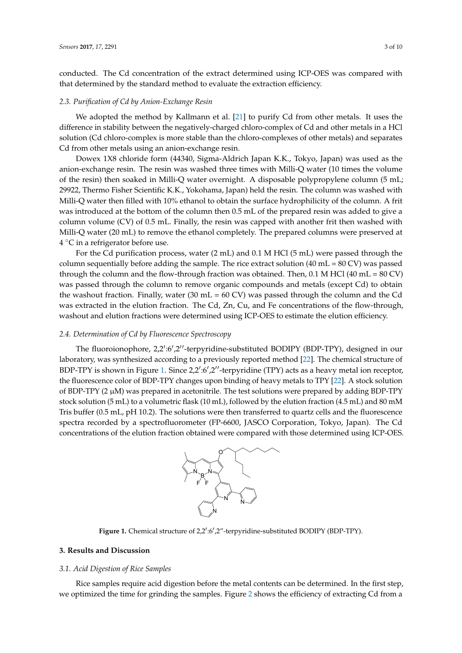conducted. The Cd concentration of the extract determined using ICP-OES was compared with that determined by the standard method to evaluate the extraction efficiency.

## *2.3. Purification of Cd by Anion-Exchange Resin*

We adopted the method by Kallmann et al. [\[21\]](#page-9-12) to purify Cd from other metals. It uses the difference in stability between the negatively-charged chloro-complex of Cd and other metals in a HCl solution (Cd chloro-complex is more stable than the chloro-complexes of other metals) and separates Cd from other metals using an anion-exchange resin.

Dowex 1X8 chloride form (44340, Sigma-Aldrich Japan K.K., Tokyo, Japan) was used as the anion-exchange resin. The resin was washed three times with Milli-Q water (10 times the volume of the resin) then soaked in Milli-Q water overnight. A disposable polypropylene column (5 mL; 29922, Thermo Fisher Scientific K.K., Yokohama, Japan) held the resin. The column was washed with Milli-Q water then filled with 10% ethanol to obtain the surface hydrophilicity of the column. A frit *Sensors* **2017**, *17*, 2291 3 of 9 was introduced at the bottom of the column then 0.5 mL of the prepared resin was added to give a column volume (CV) of 0.5 mL. Finally, the resin was capped with another frit then washed with Milli-Q water (20 mL) to remove the ethanol completely. The prepared columns were preserved at  $4 °C$  in a refrigerator before use.  $\mathcal{L}$  solution (Cd chlorocomplex is more stable than the chloro-complexes of other metals) and  $\mathcal{L}$ 

For the Cd purification process, water (2 mL) and 0.1 M HCl (5 mL) were passed through the column sequentially before adding the sample. The rice extract solution (40 mL = 80 CV) was passed through the column and the flow-through fraction was obtained. Then,  $0.1$  M HCl  $(40$  mL =  $80$  CV) was passed through the column to remove organic compounds and metals (except Cd) to obtain the washout fraction. Finally, water (30 mL =  $60$  CV) was passed through the column and the Cd was extracted in the elution fraction. The Cd, Zn, Cu, and Fe concentrations of the flow-through, washout and elution fractions were determined using ICP-OES to estimate the elution efficiency.  $\mu$ y before adding the sample. The fice extract solution (40 mL =  $\delta$  $\mathcal{C}$  water the surface hydrophilicity of the surface hydrophilicity of the column  $\mathcal{C}$  $M_{\text{max}}$  remarries (20 mL) to  $\sigma$  remove the ethanologic at  $\sigma$  columns were preserved at  $\sigma$ column sequential column sequential column solution (40 mL = 80 cV) was passed on the 80 cV extensive solution (40  $^{\circ}$ ) was passed on the 80 cV  $^{\circ}$ 

#### 2.4. Determination of Cd by Fluorescence Spectroscopy was however fraction. Finally, was passed through the column and through the  $\mathcal{L}$

The fluoroionophore, 2,2':6',2''-terpyridine-substituted BODIPY (BDP-TPY), designed in our laboratory, was synthesized according to a previously reported method [\[22\]](#page-9-13). The chemical structure of BDP-TPY is shown in Figure [1.](#page-3-0) Since 2,2':6',2"-terpyridine (TPY) acts as a heavy metal ion receptor, the fluorescence color of BDP-TPY changes upon binding of heavy metals to TPY [\[22\]](#page-9-13). A stock solution of BDP-TPY (2 µM) was prepared in acetonitrile. The test solutions were prepared by adding BDP-TPY stock solution (5 mL) to a volumetric flask (10 mL), followed by the elution fraction (4.5 mL) and 80 mM Tris buffer (0.5 mL, pH 10.2). The solutions were then transferred to quartz cells and the fluorescence spectra recorded by a spectrofluorometer (FP-6600, JASCO Corporation, Tokyo, Japan). The Cd concentrations of the elution fraction obtained were compared with those determined using ICP-OES.  $\frac{1}{2}$  in the changes apon binding of heavy filerals to 11 T [22].  $\pi$ ) to a volumetric hask (10 mL), followed by the elution fraction (4. by a spectrofluorometer (FP-6600, JASCO Corporation, Tokyo, determined using ICP-OES.



<span id="page-3-0"></span>**Figure 1.** Chemical structure of 2,2':6',2"-terpyridine-substituted BODIPY (BDP-TPY).

## *3.1. Acid Digestion of Rice Samples*  **3. Results and Discussion**

## 3.1. Acid Digestion of Rice Samples<sup>. Figure</sup> 2 shows the efficiency of extractional Code et al., **3.1.** Acid Digestion of Rice Samples

Rice samples require acid digestion before the metal contents can be determined. In the first step, we optimized the time for grinding the samples. Figure [2](#page-4-0) shows the efficiency of extracting Cd from a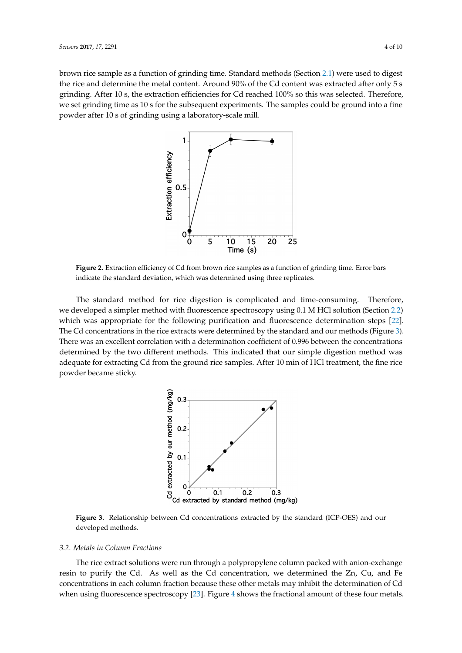<span id="page-4-0"></span>brown rice sample as a function of grinding time. Standard methods (Section [2.1\)](#page-2-0) were used to digest the rice and determine the metal content. Around 90% of the Cd content was extracted after only 5 s grinding. After 10 s, the extraction efficiencies for Cd reached 100% so this was selected. Therefore, we set grinding time as 10 s for the subsequent experiments. The samples could be ground into a fine powder after 10 s of grinding using a laboratory-scale mill. set grinding time as 10 s for the subsequent experiments. The samples could be ground into a fi<br>set grinding the 10 s of existing was selected as selected.



**Figure 2.** Extraction efficiency of Cd from brown rice samples as a function of grinding time. Error **Figure 2.** Extraction efficiency of Cd from brown rice samples as a function of grinding time. Error bars indicate the standard deviation, which was determined using three replicates.

The standard method for rice digestion is complicated and time-consuming. Therefore, we developed a simpler method with fluorescence spectroscopy using 0.1 M HCl solution (Section [2.2\)](#page-2-1) which was appropriate for the following purification and fluorescence determination steps [\[22\]](#page-9-13). The Cd concentrations in the rice extracts were determined by the standard and our methods (Figure [3\)](#page-4-1). concentrations determined by the two different methods. This indicated that our simple digestion  $\alpha$ There was an excellent correlation with a determination coefficient of 0.996 between the concentrations determined by the two different methods. This indicated that our simple digestion method was adequate for extracting Cd from the ground rice samples. After 10 min of HCl treatment, the fine rice powder became sticky. The was an excellent correlation with a determination coefficient of 0.996 between the concentratio

<span id="page-4-1"></span>

Figure 3. Relationship between Cd concentrations extracted by the standard (ICP-OES) and our developed methods. The rice extract solutions were related with packed with  $\alpha$  polypropylene column packed with  $\alpha$ anison-exchange resin to purify the Cd. As well as the Cd. As well as the Cd concentration, we determined the  $\mathcal{L}$ 

## and Fe concentrations in each column fraction because these other metals may inhibit the *3.2. Metals in Column Fractions 3.2. Metals in Column Fractions*  $\alpha$  determination of  $\alpha$  when using fluorescence spectroscopy  $\alpha$

The rice extract solutions were run through a polypropylene column packed with The rice extract solutions were run through a polypropylene column packed with anion-exchange resin to purify the Cd. As well as the Cd concentration, we determined the Zn, Cu, and Fe concentrations in each column fraction because these other metals may inhibit the determination of Cd when using fluorescence spectroscopy [\[23\]](#page-9-14). Figure [4](#page-5-0) shows the fractional amount of these four metals.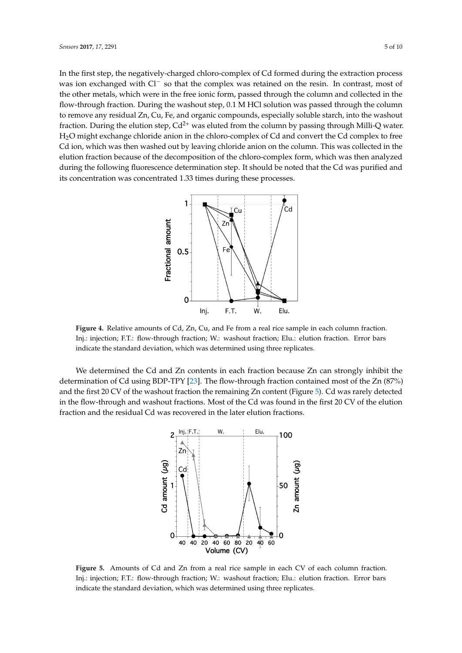In the first step, the negatively-charged chloro-complex of Cd formed during the extraction process was ion exchanged with Cl<sup>−</sup> so that the complex was retained on the resin. In contrast, most of the other metals, which were in the free ionic form, passed through the column and collected in the flow-through fraction. During the washout step, 0.1 M HCl solution was passed through the column to remove any residual Zn, Cu, Fe, and organic compounds, especially soluble starch, into the washout fraction. During the elution step,  $Cd^{2+}$  was eluted from the column by passing through Milli-Q water. H<sub>2</sub>O might exchange chloride anion in the chloro-complex of Cd and convert the Cd complex to free Cd ion, which was then washed out by leaving chloride anion on the column. This was collected in the elution fraction because of the decomposition of the chloro-complex form, which was then analyzed during the following fluorescence determination step. It should be noted that the Cd was purified and its concentration was concentrated 1.33 times during these processes. re note that the Calendaries and its concentration was concentrated in the Cd was purified in the collected in the elution fraction fraction fraction fraction of the elution of the elution of the decomposition of the eluci  $\mathcal{L}(\mathbf{A}) = \mathcal{L}(\mathbf{A})$  might exchange change change change change change change change change change  $\mathcal{L}(\mathbf{A})$ an interior because of the decomposition of the choice complex form, which was then was

<span id="page-5-0"></span>

Figure 4. Relative amounts of Cd, Zn, Cu, and Fe from a real rice sample in each column fraction. Inj.: injection; F.T.: flow-through fraction; W.: washout fraction; Elu.: elution fraction. Error bars indicate the standard deviation, which was determined using three replicates.

<span id="page-5-1"></span>We determined the Cd and Zn contents in each fraction because Zn can strongly inhibit the determination of Cd using BDP-TPY [\[23\]](#page-9-14). The flow-through fraction contained most of the Zn (87%) and the first 20 CV of the washout fraction the remaining Zn content (Figure [5\)](#page-5-1). Cd was rarely detected in the flow-through and washout fractions. Most of the Cd was found in the first 20 CV of the elution fraction and the residual Cd was recovered in the later elution fractions.  $\epsilon$  how-through and washout fractions. Most of the Cd was found in the first 20 CV of the ch



Figure 5. Amounts of Cd and Zn from a real rice sample in each CV of each column fraction. Inj.: injection; F.T.: flow-through fraction; W.: washout fraction; Elu.: elution fraction. Error bars the standard deviation, which was determined using three replicates. indicate the standard deviation, which was determined using three replicates.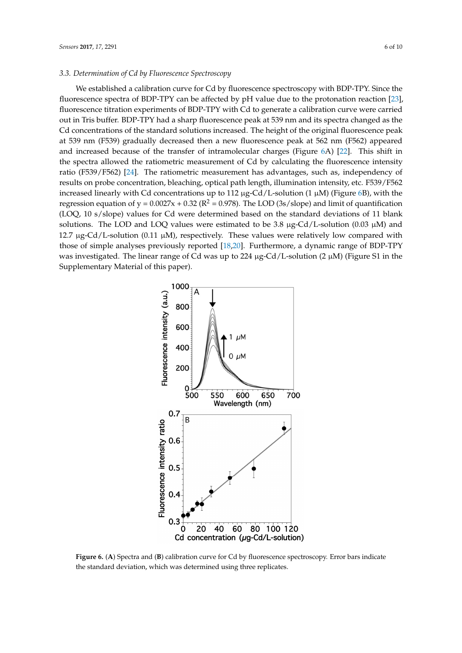## *3.3. Determination of Cd by Fluorescence Spectroscopy 3.3. Determination of Cd by Fluorescence Spectroscopy*

We established a calibration curve for Cd by fluorescence spectroscopy with BDP-TPY. Since the We established a calibration curve for Cd by fluorescence spectroscopy with BDP-TPY. Since fluorescence spectra of BDP-TPY can be affected by  $pH$  value due to the protonation reaction [\[23\]](#page-9-14), fluorescence titration experiments of BDP-TPY with Cd to generate a calibration curve were carried out in Tris buffer. BDP-TPY had a sharp fluorescence peak at 539 nm and its spectra changed as the Cd concentrations of the standard solutions increased. The height of the original fluorescence peak at 539 nm (F539) gradually decreased then a new fluorescence peak at 562 nm (F562) appeared peak at 539 nm (F539) gradually decreased then a new fluorescence peak at 562 nm (F562) appeared and increased because of the transfer of intramolecular charges (Figure  $6A$ ) [\[22\]](#page-9-13). This shift in the spectra allowed the ratiometric measurement of Cd by calculating the fluorescence intensity ratio (F539/F562) [\[24\]](#page-10-0). The ratiometric measurement has advantages, such as, independency of results on probe concentration, bleaching, optical path length, illumination intensity, etc. F539/F562 increased linearly with Cd concentrations up to 112  $\mu$ g-Cd/L-solution (1  $\mu$ M) (Figure 6B), with [th](#page-6-0)e regression equation of  $y = 0.0027x + 0.32$  ( $R^2 = 0.978$ ). The LOD (3s/slope) and limit of quantification (LOQ, 10 s/slope) values for Cd were determined based on the standard deviations of 11 blank solutions. The LOD and LOQ values were estimated to be 3.8 μg-Cd/L-solution (0.03 μM) and 12.7  $\mu$ g-Cd/L-solution (0.11 μM), respectively. These values were relatively low compared with those of simple analyses previously reported  $[18,20]$  $[18,20]$ . Furthermore, a dynamic range of BDP-TPY was investigated. The linear range of Cd was up to 224 μg-Cd/L-solution (2 μM) (Figure S1 in the Supplementary Material of this paper). Supplementary Material of this paper).

<span id="page-6-0"></span>

Figure 6. (A) Spectra and (B) calibration curve for Cd by fluorescence spectroscopy. Error bars indicate the standard deviation, which was determined using three replicates.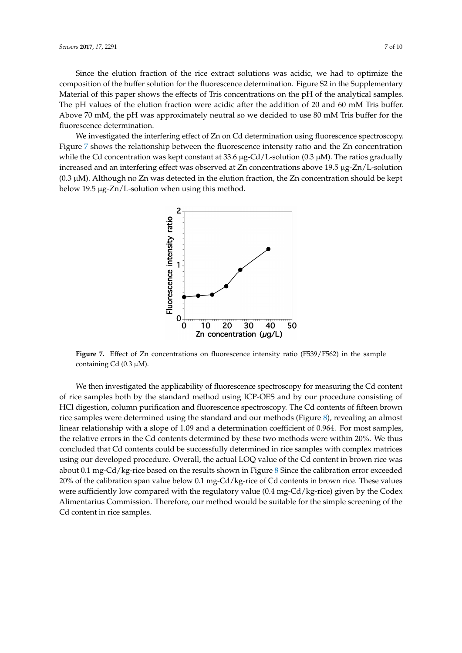Since the elution fraction of the rice extract solutions was acidic, we had to optimize the composition of the buffer solution for the fluorescence determination. Figure S2 in the Supplementary Material of this paper shows the effects of Tris concentrations on the pH of the analytical samples. The pH values of the elution fraction were acidic after the addition of 20 and 60 mM Tris buffer. Above 70 mM, the pH was approximately neutral so we decided to use 80 mM Tris buffer for the fluorescence determination.

<span id="page-7-0"></span>We investigated the interfering effect of Zn on Cd determination using fluorescence spectroscopy. Figure 7 shows the relationship between the fluorescence intensity ratio and the Zn concentration while the Cd concentration was kept constant at 33.6 μg-Cd/L-solution (0.3 μM). The ratios gradually increased and an interfering effect was observed at Zn concentrations above  $19.5 \,\mu$ g-Zn/L-solution (0.3 μM). Although no Zn was detected in the elution fraction, the Zn concentration should be kept below 19.5 μg-Zn/L-solution when using this method.



**Figure 7.** Effect of Zn concentrations on fluorescence intensity ratio (F539/F562) in the sample **Figure 7.** Effect of Zn concentrations on fluorescence intensity ratio (F539/F562) in the sample containing Cd (0.3 μM). containing Cd (0.3 µM).

We then investigated the applicability of fluorescence spectroscopy for measuring the Cd We then investigated the applicability of fluorescence spectroscopy for measuring the Cd content of rice samples both by the standard method using ICP-OES and by our procedure consisting of HCl digestion, column purification and fluorescence spectroscopy. The Cd contents of fifteen brown rice samples were determined using the standard and [ou](#page-8-3)r methods (Figure 8), revealing an almost linear relationship with a slope of 1.09 and a determination coefficient of 0.964. For most samples, the relative errors in the Cd contents determined by these two methods were within 20%. We thus concluded that Cd contents could be successfully determined in rice samples with complex matrices using our developed procedure. Overall, the actual LOQ value of the Cd content in brown rice was about 0.1 mg-Cd/kg-rice based on [th](#page-8-3)e results shown in Figure 8 Since the calibration error exceeded 20% of the calibration span value below 0.1 mg-Cd/kg-rice of Cd contents in brown rice. These values were sufficiently low compared with the regulatory value  $(0.4 \text{ mg-Cd/kg}\text{-rice})$  given by the Codex Alimentarius Commission. Therefore, our method would be suitable for the simple screening of the<br>Cd senter tip rise semples suitable for the simple screening of the Cd content in rice samples. Cd content in rice samples.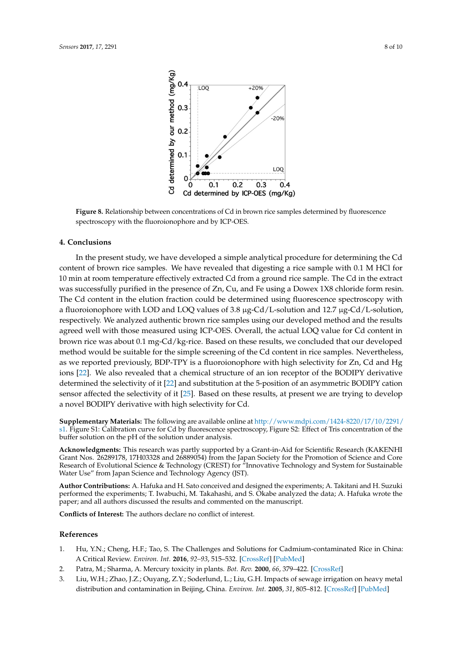<span id="page-8-3"></span>

**Figure 8.** Relationship between concentrations of Cd in brown rice samples determined by **Figure 8.** Relationship between concentrations of Cd in brown rice samples determined by fluorescence spectroscopy with the fluoroionophore and by ICP-OES.

## **4. Conclusions**

In the present study, we have developed a simple analytical procedure for determining the Cd content of brown rice samples. We have revealed that digesting a rice sample with 0.1 M HCl for 10 min at room temperature effectively extracted Cd from a ground rice sample. The Cd in the extract was successfully purified in the presence of Zn, Cu, and Fe using a Dowex 1X8 chloride form resin. The Cd content in the elution fraction could be determined using fluorescence spectroscopy with a fluoroionophore with LOD and LOQ values of  $3.8 \mu$ g-Cd/L-solution and  $12.7 \mu$ g-Cd/L-solution, respectively. We analyzed authentic brown rice samples using our developed method and the results agreed well with those measured using ICP-OES. Overall, the actual LOQ value for Cd content in brown rice was about 0.1 mg-Cd/kg-rice. Based on these results, we concluded that our developed method would be suitable for the simple screening of the Cd content in rice samples. Nevertheless, as we reported previously, BDP-TPY is a fluoroionophore with high selectivity for Zn, Cd and Hg ions [\[22\]](#page-9-13). We also revealed that a chemical structure of an ion receptor of the BODIPY derivative determined the selectivity of it [\[22\]](#page-9-13) and substitution at the 5-position of an asymmetric BODIPY cation sensor affected the selectivity of it [\[25\]](#page-10-1). Based on these results, at present we are trying to develop a novel BODIPY derivative with high selectivity for Cd.

**Supplementary Materials:** The following are available online at [http://www.mdpi.com/1424-8220/17/10/2291/](http://www.mdpi.com/1424-8220/17/10/2291/s1) [s1.](http://www.mdpi.com/1424-8220/17/10/2291/s1) Figure S1: Calibration curve for Cd by fluorescence spectroscopy, Figure S2: Effect of Tris concentration of the buffer solution on the pH of the solution under analysis.

**Acknowledgments:** This research was partly supported by a Grant-in-Aid for Scientific Research (KAKENHI Grant Nos. 26289178, 17H03328 and 26889054) from the Japan Society for the Promotion of Science and Core Research of Evolutional Science & Technology (CREST) for "Innovative Technology and System for Sustainable Water Use" from Japan Science and Technology Agency (JST).

**Author Contributions:** A. Hafuka and H. Sato conceived and designed the experiments; A. Takitani and H. Suzuki performed the experiments; T. Iwabuchi, M. Takahashi, and S. Okabe analyzed the data; A. Hafuka wrote the paper; and all authors discussed the results and commented on the manuscript.

**Conflicts of Interest:** The authors declare no conflict of interest.

### **References**

- <span id="page-8-0"></span>1. Hu, Y.N.; Cheng, H.F.; Tao, S. The Challenges and Solutions for Cadmium-contaminated Rice in China: A Critical Review. *Environ. Int.* **2016**, *92–93*, 515–532. [\[CrossRef\]](http://dx.doi.org/10.1016/j.envint.2016.04.042) [\[PubMed\]](http://www.ncbi.nlm.nih.gov/pubmed/27179698)
- <span id="page-8-1"></span>2. Patra, M.; Sharma, A. Mercury toxicity in plants. *Bot. Rev.* **2000**, *66*, 379–422. [\[CrossRef\]](http://dx.doi.org/10.1007/BF02868923)
- <span id="page-8-2"></span>3. Liu, W.H.; Zhao, J.Z.; Ouyang, Z.Y.; Soderlund, L.; Liu, G.H. Impacts of sewage irrigation on heavy metal distribution and contamination in Beijing, China. *Environ. Int.* **2005**, *31*, 805–812. [\[CrossRef\]](http://dx.doi.org/10.1016/j.envint.2005.05.042) [\[PubMed\]](http://www.ncbi.nlm.nih.gov/pubmed/15979146)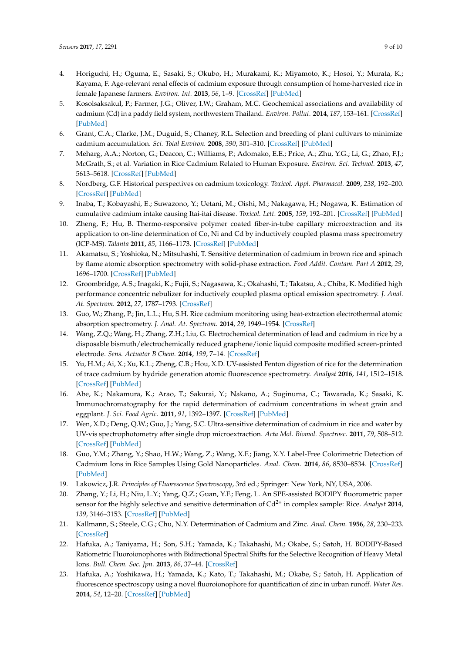- <span id="page-9-0"></span>4. Horiguchi, H.; Oguma, E.; Sasaki, S.; Okubo, H.; Murakami, K.; Miyamoto, K.; Hosoi, Y.; Murata, K.; Kayama, F. Age-relevant renal effects of cadmium exposure through consumption of home-harvested rice in female Japanese farmers. *Environ. Int.* **2013**, *56*, 1–9. [\[CrossRef\]](http://dx.doi.org/10.1016/j.envint.2013.03.001) [\[PubMed\]](http://www.ncbi.nlm.nih.gov/pubmed/23542681)
- <span id="page-9-1"></span>5. Kosolsaksakul, P.; Farmer, J.G.; Oliver, I.W.; Graham, M.C. Geochemical associations and availability of cadmium (Cd) in a paddy field system, northwestern Thailand. *Environ. Pollut.* **2014**, *187*, 153–161. [\[CrossRef\]](http://dx.doi.org/10.1016/j.envpol.2014.01.006) [\[PubMed\]](http://www.ncbi.nlm.nih.gov/pubmed/24502996)
- <span id="page-9-2"></span>6. Grant, C.A.; Clarke, J.M.; Duguid, S.; Chaney, R.L. Selection and breeding of plant cultivars to minimize cadmium accumulation. *Sci. Total Environ.* **2008**, *390*, 301–310. [\[CrossRef\]](http://dx.doi.org/10.1016/j.scitotenv.2007.10.038) [\[PubMed\]](http://www.ncbi.nlm.nih.gov/pubmed/18036635)
- <span id="page-9-3"></span>7. Meharg, A.A.; Norton, G.; Deacon, C.; Williams, P.; Adomako, E.E.; Price, A.; Zhu, Y.G.; Li, G.; Zhao, F.J.; McGrath, S.; et al. Variation in Rice Cadmium Related to Human Exposure. *Environ. Sci. Technol.* **2013**, *47*, 5613–5618. [\[CrossRef\]](http://dx.doi.org/10.1021/es400521h) [\[PubMed\]](http://www.ncbi.nlm.nih.gov/pubmed/23668419)
- <span id="page-9-4"></span>8. Nordberg, G.F. Historical perspectives on cadmium toxicology. *Toxicol. Appl. Pharmacol.* **2009**, *238*, 192–200. [\[CrossRef\]](http://dx.doi.org/10.1016/j.taap.2009.03.015) [\[PubMed\]](http://www.ncbi.nlm.nih.gov/pubmed/19341754)
- <span id="page-9-5"></span>9. Inaba, T.; Kobayashi, E.; Suwazono, Y.; Uetani, M.; Oishi, M.; Nakagawa, H.; Nogawa, K. Estimation of cumulative cadmium intake causing Itai-itai disease. *Toxicol. Lett.* **2005**, *159*, 192–201. [\[CrossRef\]](http://dx.doi.org/10.1016/j.toxlet.2005.05.011) [\[PubMed\]](http://www.ncbi.nlm.nih.gov/pubmed/16006079)
- <span id="page-9-6"></span>10. Zheng, F.; Hu, B. Thermo-responsive polymer coated fiber-in-tube capillary microextraction and its application to on-line determination of Co, Ni and Cd by inductively coupled plasma mass spectrometry (ICP-MS). *Talanta* **2011**, *85*, 1166–1173. [\[CrossRef\]](http://dx.doi.org/10.1016/j.talanta.2011.05.039) [\[PubMed\]](http://www.ncbi.nlm.nih.gov/pubmed/21726754)
- 11. Akamatsu, S.; Yoshioka, N.; Mitsuhashi, T. Sensitive determination of cadmium in brown rice and spinach by flame atomic absorption spectrometry with solid-phase extraction. *Food Addit. Contam. Part A* **2012**, *29*, 1696–1700. [\[CrossRef\]](http://dx.doi.org/10.1080/19440049.2012.706835) [\[PubMed\]](http://www.ncbi.nlm.nih.gov/pubmed/22849394)
- 12. Groombridge, A.S.; Inagaki, K.; Fujii, S.; Nagasawa, K.; Okahashi, T.; Takatsu, A.; Chiba, K. Modified high performance concentric nebulizer for inductively coupled plasma optical emission spectrometry. *J. Anal. At. Spectrom.* **2012**, *27*, 1787–1793. [\[CrossRef\]](http://dx.doi.org/10.1039/c2ja30118k)
- 13. Guo, W.; Zhang, P.; Jin, L.L.; Hu, S.H. Rice cadmium monitoring using heat-extraction electrothermal atomic absorption spectrometry. *J. Anal. At. Spectrom.* **2014**, *29*, 1949–1954. [\[CrossRef\]](http://dx.doi.org/10.1039/C4JA00234B)
- 14. Wang, Z.Q.; Wang, H.; Zhang, Z.H.; Liu, G. Electrochemical determination of lead and cadmium in rice by a disposable bismuth/electrochemically reduced graphene/ionic liquid composite modified screen-printed electrode. *Sens. Actuator B Chem.* **2014**, *199*, 7–14. [\[CrossRef\]](http://dx.doi.org/10.1016/j.snb.2014.03.092)
- <span id="page-9-7"></span>15. Yu, H.M.; Ai, X.; Xu, K.L.; Zheng, C.B.; Hou, X.D. UV-assisted Fenton digestion of rice for the determination of trace cadmium by hydride generation atomic fluorescence spectrometry. *Analyst* **2016**, *141*, 1512–1518. [\[CrossRef\]](http://dx.doi.org/10.1039/C5AN02068A) [\[PubMed\]](http://www.ncbi.nlm.nih.gov/pubmed/26759832)
- <span id="page-9-8"></span>16. Abe, K.; Nakamura, K.; Arao, T.; Sakurai, Y.; Nakano, A.; Suginuma, C.; Tawarada, K.; Sasaki, K. Immunochromatography for the rapid determination of cadmium concentrations in wheat grain and eggplant. *J. Sci. Food Agric.* **2011**, *91*, 1392–1397. [\[CrossRef\]](http://dx.doi.org/10.1002/jsfa.4321) [\[PubMed\]](http://www.ncbi.nlm.nih.gov/pubmed/21337581)
- 17. Wen, X.D.; Deng, Q.W.; Guo, J.; Yang, S.C. Ultra-sensitive determination of cadmium in rice and water by UV-vis spectrophotometry after single drop microextraction. *Acta Mol. Biomol. Spectrosc.* **2011**, *79*, 508–512. [\[CrossRef\]](http://dx.doi.org/10.1016/j.saa.2011.03.021) [\[PubMed\]](http://www.ncbi.nlm.nih.gov/pubmed/21530375)
- <span id="page-9-9"></span>18. Guo, Y.M.; Zhang, Y.; Shao, H.W.; Wang, Z.; Wang, X.F.; Jiang, X.Y. Label-Free Colorimetric Detection of Cadmium Ions in Rice Samples Using Gold Nanoparticles. *Anal. Chem.* **2014**, *86*, 8530–8534. [\[CrossRef\]](http://dx.doi.org/10.1021/ac502461r) [\[PubMed\]](http://www.ncbi.nlm.nih.gov/pubmed/25117533)
- <span id="page-9-10"></span>19. Lakowicz, J.R. *Principles of Fluorescence Spectroscopy*, 3rd ed.; Springer: New York, NY, USA, 2006.
- <span id="page-9-11"></span>20. Zhang, Y.; Li, H.; Niu, L.Y.; Yang, Q.Z.; Guan, Y.F.; Feng, L. An SPE-assisted BODIPY fluorometric paper sensor for the highly selective and sensitive determination of Cd2+ in complex sample: Rice. *Analyst* **2014**, *139*, 3146–3153. [\[CrossRef\]](http://dx.doi.org/10.1039/c4an00198b) [\[PubMed\]](http://www.ncbi.nlm.nih.gov/pubmed/24802241)
- <span id="page-9-12"></span>21. Kallmann, S.; Steele, C.G.; Chu, N.Y. Determination of Cadmium and Zinc. *Anal. Chem.* **1956**, *28*, 230–233. [\[CrossRef\]](http://dx.doi.org/10.1021/ac60110a026)
- <span id="page-9-13"></span>22. Hafuka, A.; Taniyama, H.; Son, S.H.; Yamada, K.; Takahashi, M.; Okabe, S.; Satoh, H. BODIPY-Based Ratiometric Fluoroionophores with Bidirectional Spectral Shifts for the Selective Recognition of Heavy Metal Ions. *Bull. Chem. Soc. Jpn.* **2013**, *86*, 37–44. [\[CrossRef\]](http://dx.doi.org/10.1246/bcsj.20120235)
- <span id="page-9-14"></span>23. Hafuka, A.; Yoshikawa, H.; Yamada, K.; Kato, T.; Takahashi, M.; Okabe, S.; Satoh, H. Application of fluorescence spectroscopy using a novel fluoroionophore for quantification of zinc in urban runoff. *Water Res.* **2014**, *54*, 12–20. [\[CrossRef\]](http://dx.doi.org/10.1016/j.watres.2014.01.040) [\[PubMed\]](http://www.ncbi.nlm.nih.gov/pubmed/24531076)